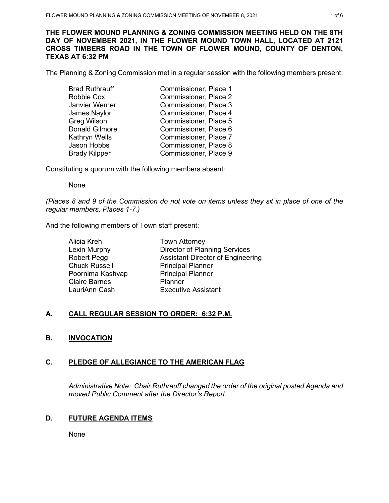**THE FLOWER MOUND PLANNING & ZONING COMMISSION MEETING HELD ON THE 8TH DAY OF NOVEMBER 2021, IN THE FLOWER MOUND TOWN HALL, LOCATED AT 2121 CROSS TIMBERS ROAD IN THE TOWN OF FLOWER MOUND, COUNTY OF DENTON, TEXAS AT 6:32 PM**

The Planning & Zoning Commission met in a regular session with the following members present:

| <b>Brad Ruthrauff</b> | Commissioner, Place 1 |
|-----------------------|-----------------------|
| Robbie Cox            | Commissioner, Place 2 |
| Janvier Werner        | Commissioner, Place 3 |
| James Naylor          | Commissioner, Place 4 |
| Greg Wilson           | Commissioner, Place 5 |
| <b>Donald Gilmore</b> | Commissioner, Place 6 |
| Kathryn Wells         | Commissioner, Place 7 |
| Jason Hobbs           | Commissioner, Place 8 |
| <b>Brady Kilpper</b>  | Commissioner, Place 9 |
|                       |                       |

Constituting a quorum with the following members absent:

None

*(Places 8 and 9 of the Commission do not vote on items unless they sit in place of one of the regular members, Places 1-7.)*

And the following members of Town staff present:

| Alicia Kreh          | <b>Town Attorney</b>                     |
|----------------------|------------------------------------------|
| Lexin Murphy         | <b>Director of Planning Services</b>     |
| <b>Robert Pegg</b>   | <b>Assistant Director of Engineering</b> |
| <b>Chuck Russell</b> | <b>Principal Planner</b>                 |
| Poornima Kashyap     | <b>Principal Planner</b>                 |
| <b>Claire Barnes</b> | Planner                                  |
| LauriAnn Cash        | <b>Executive Assistant</b>               |

### **A. CALL REGULAR SESSION TO ORDER: 6:32 P.M.**

# **B. INVOCATION**

# **C. PLEDGE OF ALLEGIANCE TO THE AMERICAN FLAG**

*Administrative Note: Chair Ruthrauff changed the order of the original posted Agenda and moved Public Comment after the Director's Report.*

### **D. FUTURE AGENDA ITEMS**

None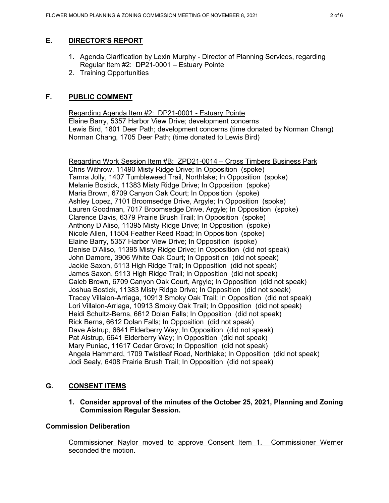# **E. DIRECTOR'S REPORT**

- 1. Agenda Clarification by Lexin Murphy Director of Planning Services, regarding Regular Item #2: DP21-0001 – Estuary Pointe
- 2. Training Opportunities

# **F. PUBLIC COMMENT**

Regarding Agenda Item #2: DP21-0001 - Estuary Pointe Elaine Barry, 5357 Harbor View Drive; development concerns Lewis Bird, 1801 Deer Path; development concerns (time donated by Norman Chang) Norman Chang, 1705 Deer Path; (time donated to Lewis Bird)

Regarding Work Session Item #B: ZPD21-0014 – Cross Timbers Business Park Chris Withrow, 11490 Misty Ridge Drive; In Opposition (spoke) Tamra Jolly, 1407 Tumbleweed Trail, Northlake; In Opposition (spoke) Melanie Bostick, 11383 Misty Ridge Drive; In Opposition (spoke) Maria Brown, 6709 Canyon Oak Court; In Opposition (spoke) Ashley Lopez, 7101 Broomsedge Drive, Argyle; In Opposition (spoke) Lauren Goodman, 7017 Broomsedge Drive, Argyle; In Opposition (spoke) Clarence Davis, 6379 Prairie Brush Trail; In Opposition (spoke) Anthony D'Aliso, 11395 Misty Ridge Drive; In Opposition (spoke) Nicole Allen, 11504 Feather Reed Road; In Opposition (spoke) Elaine Barry, 5357 Harbor View Drive; In Opposition (spoke) Denise D'Aliso, 11395 Misty Ridge Drive; In Opposition (did not speak) John Damore, 3906 White Oak Court; In Opposition (did not speak) Jackie Saxon, 5113 High Ridge Trail; In Opposition (did not speak) James Saxon, 5113 High Ridge Trail; In Opposition (did not speak) Caleb Brown, 6709 Canyon Oak Court, Argyle; In Opposition (did not speak) Joshua Bostick, 11383 Misty Ridge Drive; In Opposition (did not speak) Tracey Villalon-Arriaga, 10913 Smoky Oak Trail; In Opposition (did not speak) Lori Villalon-Arriaga, 10913 Smoky Oak Trail; In Opposition (did not speak) Heidi Schultz-Berns, 6612 Dolan Falls; In Opposition (did not speak) Rick Berns, 6612 Dolan Falls; In Opposition (did not speak) Dave Aistrup, 6641 Elderberry Way; In Opposition (did not speak) Pat Aistrup, 6641 Elderberry Way; In Opposition (did not speak) Mary Puniac, 11617 Cedar Grove; In Opposition (did not speak) Angela Hammard, 1709 Twistleaf Road, Northlake; In Opposition (did not speak) Jodi Sealy, 6408 Prairie Brush Trail; In Opposition (did not speak)

# **G. CONSENT ITEMS**

**1. Consider approval of the minutes of the October 25, 2021, Planning and Zoning Commission Regular Session.**

# **Commission Deliberation**

Commissioner Naylor moved to approve Consent Item 1. Commissioner Werner seconded the motion.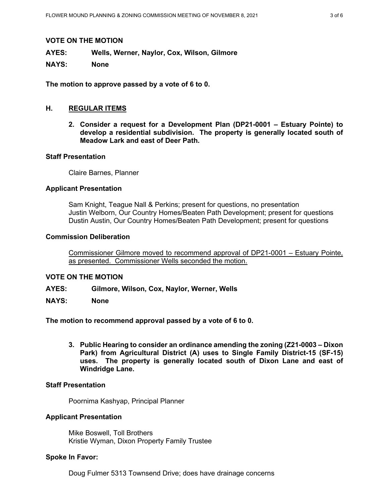#### **VOTE ON THE MOTION**

**AYES: Wells, Werner, Naylor, Cox, Wilson, Gilmore**

**NAYS: None**

**The motion to approve passed by a vote of 6 to 0.** 

### **H. REGULAR ITEMS**

**2. Consider a request for a Development Plan (DP21-0001 – Estuary Pointe) to develop a residential subdivision. The property is generally located south of Meadow Lark and east of Deer Path.** 

### **Staff Presentation**

Claire Barnes, Planner

### **Applicant Presentation**

Sam Knight, Teague Nall & Perkins; present for questions, no presentation Justin Welborn, Our Country Homes/Beaten Path Development; present for questions Dustin Austin, Our Country Homes/Beaten Path Development; present for questions

#### **Commission Deliberation**

Commissioner Gilmore moved to recommend approval of DP21-0001 – Estuary Pointe, as presented. Commissioner Wells seconded the motion.

### **VOTE ON THE MOTION**

- **AYES: Gilmore, Wilson, Cox, Naylor, Werner, Wells**
- **NAYS: None**

**The motion to recommend approval passed by a vote of 6 to 0.** 

**3. Public Hearing to consider an ordinance amending the zoning (Z21-0003 – Dixon Park) from Agricultural District (A) uses to Single Family District-15 (SF-15) uses. The property is generally located south of Dixon Lane and east of Windridge Lane.** 

### **Staff Presentation**

Poornima Kashyap, Principal Planner

### **Applicant Presentation**

Mike Boswell, Toll Brothers Kristie Wyman, Dixon Property Family Trustee

## **Spoke In Favor:**

Doug Fulmer 5313 Townsend Drive; does have drainage concerns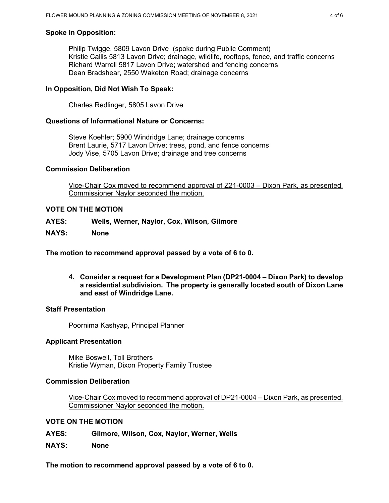# **Spoke In Opposition:**

Philip Twigge, 5809 Lavon Drive (spoke during Public Comment) Kristie Callis 5813 Lavon Drive; drainage, wildlife, rooftops, fence, and traffic concerns Richard Warrell 5817 Lavon Drive; watershed and fencing concerns Dean Bradshear, 2550 Waketon Road; drainage concerns

## **In Opposition, Did Not Wish To Speak:**

Charles Redlinger, 5805 Lavon Drive

## **Questions of Informational Nature or Concerns:**

Steve Koehler; 5900 Windridge Lane; drainage concerns Brent Laurie, 5717 Lavon Drive; trees, pond, and fence concerns Jody Vise, 5705 Lavon Drive; drainage and tree concerns

### **Commission Deliberation**

Vice-Chair Cox moved to recommend approval of Z21-0003 – Dixon Park, as presented. Commissioner Naylor seconded the motion.

## **VOTE ON THE MOTION**

- **AYES: Wells, Werner, Naylor, Cox, Wilson, Gilmore**
- **NAYS: None**

**The motion to recommend approval passed by a vote of 6 to 0.** 

**4. Consider a request for a Development Plan (DP21-0004 – Dixon Park) to develop a residential subdivision. The property is generally located south of Dixon Lane and east of Windridge Lane.** 

### **Staff Presentation**

Poornima Kashyap, Principal Planner

### **Applicant Presentation**

Mike Boswell, Toll Brothers Kristie Wyman, Dixon Property Family Trustee

## **Commission Deliberation**

Vice-Chair Cox moved to recommend approval of DP21-0004 – Dixon Park, as presented. Commissioner Naylor seconded the motion.

### **VOTE ON THE MOTION**

- **AYES: Gilmore, Wilson, Cox, Naylor, Werner, Wells**
- **NAYS: None**

**The motion to recommend approval passed by a vote of 6 to 0.**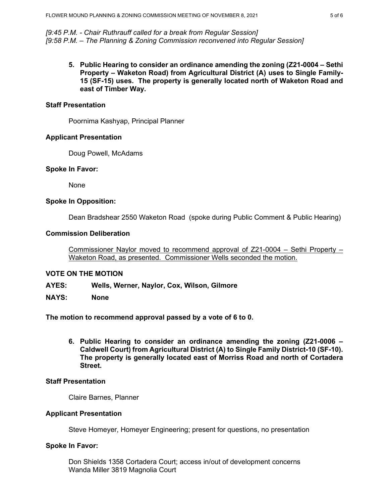*[9:45 P.M. - Chair Ruthrauff called for a break from Regular Session] [9:58 P.M. – The Planning & Zoning Commission reconvened into Regular Session]* 

**5. Public Hearing to consider an ordinance amending the zoning (Z21-0004 – Sethi Property – Waketon Road) from Agricultural District (A) uses to Single Family-15 (SF-15) uses. The property is generally located north of Waketon Road and east of Timber Way.**

#### **Staff Presentation**

Poornima Kashyap, Principal Planner

#### **Applicant Presentation**

Doug Powell, McAdams

#### **Spoke In Favor:**

None

### **Spoke In Opposition:**

Dean Bradshear 2550 Waketon Road (spoke during Public Comment & Public Hearing)

#### **Commission Deliberation**

Commissioner Naylor moved to recommend approval of Z21-0004 – Sethi Property – Waketon Road, as presented. Commissioner Wells seconded the motion.

### **VOTE ON THE MOTION**

- **AYES: Wells, Werner, Naylor, Cox, Wilson, Gilmore**
- **NAYS: None**

**The motion to recommend approval passed by a vote of 6 to 0.** 

**6. Public Hearing to consider an ordinance amending the zoning (Z21-0006 – Caldwell Court) from Agricultural District (A) to Single Family District-10 (SF-10). The property is generally located east of Morriss Road and north of Cortadera Street.**

#### **Staff Presentation**

Claire Barnes, Planner

### **Applicant Presentation**

Steve Homeyer, Homeyer Engineering; present for questions, no presentation

### **Spoke In Favor:**

Don Shields 1358 Cortadera Court; access in/out of development concerns Wanda Miller 3819 Magnolia Court